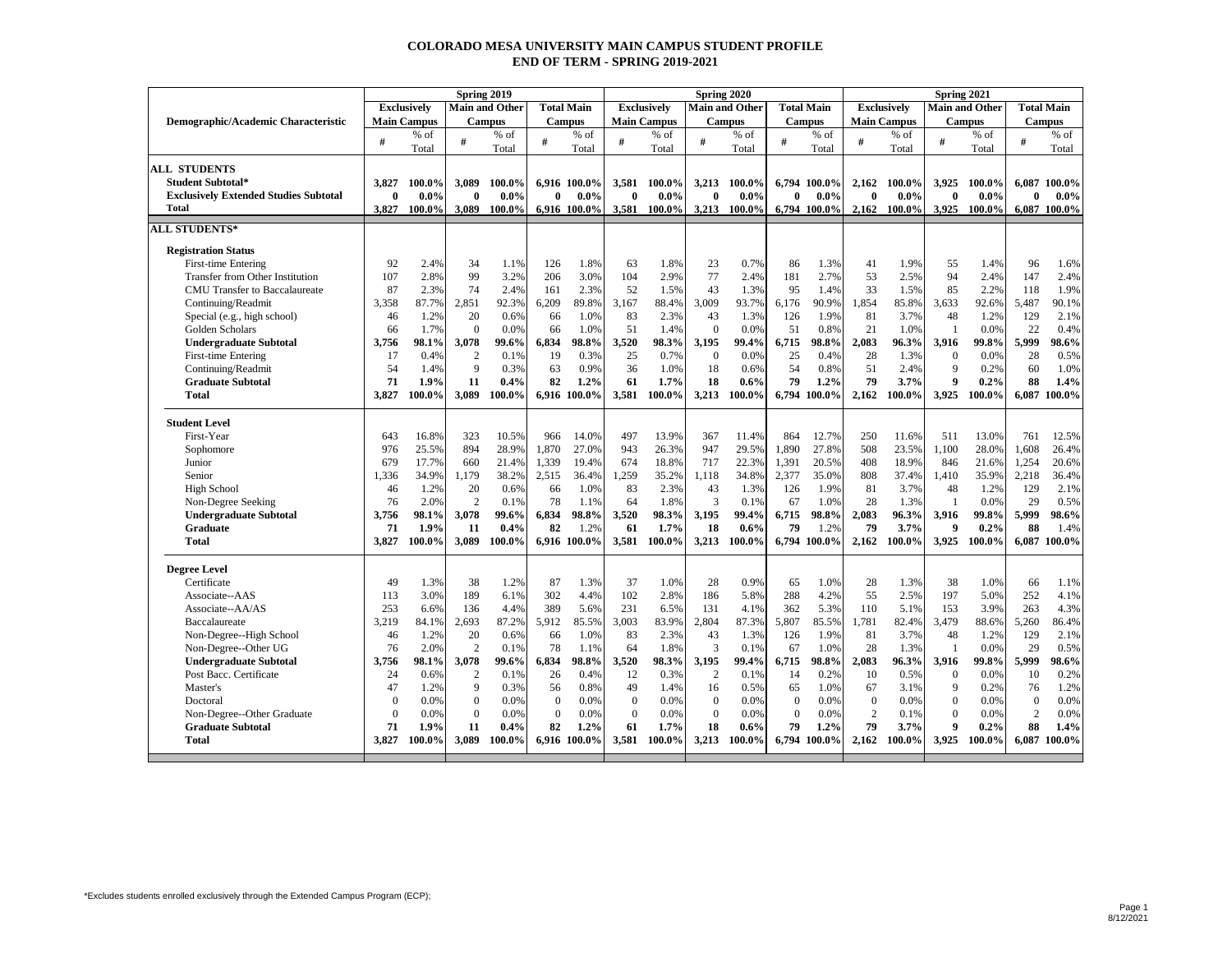## **COLORADO MESA UNIVERSITY MAIN CAMPUS STUDENT PROFILE END OF TERM - SPRING 2019-2021**

|                                              | Spring 2019  |                    |                  |                       |              |                   |              |                    |              | Spring 2020           |               |                   |                    | Spring 2021 |                  |                       |                |                   |  |  |
|----------------------------------------------|--------------|--------------------|------------------|-----------------------|--------------|-------------------|--------------|--------------------|--------------|-----------------------|---------------|-------------------|--------------------|-------------|------------------|-----------------------|----------------|-------------------|--|--|
|                                              |              | <b>Exclusively</b> |                  | <b>Main and Other</b> |              | <b>Total Main</b> |              | <b>Exclusively</b> |              | <b>Main and Other</b> |               | <b>Total Main</b> | <b>Exclusively</b> |             |                  | <b>Main and Other</b> |                | <b>Total Main</b> |  |  |
| Demographic/Academic Characteristic          |              | <b>Main Campus</b> |                  | <b>Campus</b>         |              | <b>Campus</b>     |              | <b>Main Campus</b> |              | <b>Campus</b>         | <b>Campus</b> |                   | <b>Main Campus</b> |             |                  | <b>Campus</b>         |                | <b>Campus</b>     |  |  |
|                                              | #            | % of               | #                | $%$ of                | #            | % of              | #            | $%$ of             | #            | % of                  | #             | $%$ of            | #                  | % of        | #                | % of                  | #              | $%$ of            |  |  |
|                                              |              | Total              |                  | Total                 |              | Total             |              | Total              |              | Total                 |               | Total             |                    | Total       |                  | Total                 |                | Total             |  |  |
| <b>ALL STUDENTS</b>                          |              |                    |                  |                       |              |                   |              |                    |              |                       |               |                   |                    |             |                  |                       |                |                   |  |  |
| <b>Student Subtotal*</b>                     | 3.827        | 100.0%             | 3,089            | 100.0%                |              | 6,916 100.0%      | 3,581        | 100.0%             | 3,213        | 100.0%                |               | 6,794 100.0%      | 2,162              | 100.0%      | 3,925            | 100.0%                | 6.087          | 100.0%            |  |  |
| <b>Exclusively Extended Studies Subtotal</b> | $\mathbf{0}$ | $0.0\%$            | $\mathbf{0}$     | $0.0\%$               | $\mathbf{0}$ | $0.0\%$           | $\bf{0}$     | $0.0\%$            | $\bf{0}$     | $0.0\%$               | $\bf{0}$      | $0.0\%$           | $\bf{0}$           | $0.0\%$     | $\mathbf{0}$     | $0.0\%$               | 0              | $0.0\%$           |  |  |
| Total                                        | 3.827        | 100.0%             | 3.089            | 100.0%                |              | 6.916 100.0%      | 3.581        | 100.0%             | 3.213        | 100.0%                |               | 6.794 100.0%      | 2.162              | 100.0%      | 3.925            | 100.0%                |                | 6,087 100.0%      |  |  |
| <b>ALL STUDENTS*</b>                         |              |                    |                  |                       |              |                   |              |                    |              |                       |               |                   |                    |             |                  |                       |                |                   |  |  |
| <b>Registration Status</b>                   |              |                    |                  |                       |              |                   |              |                    |              |                       |               |                   |                    |             |                  |                       |                |                   |  |  |
| First-time Entering                          | 92           | 2.4%               | 34               | 1.1%                  | 126          | 1.8%              | 63           | 1.8%               | 23           | 0.7%                  | 86            | 1.3%              | 41                 | 1.9%        | 55               | 1.4%                  | 96             | 1.6%              |  |  |
| <b>Transfer from Other Institution</b>       | 107          | 2.8%               | 99               | 3.2%                  | 206          | 3.0%              | 104          | 2.9%               | 77           | 2.4%                  | 181           | 2.7%              | 53                 | 2.5%        | 94               | 2.4%                  | 147            | 2.4%              |  |  |
| CMU Transfer to Baccalaureate                | 87           | 2.3%               | 74               | 2.4%                  | 161          | 2.3%              | 52           | 1.5%               | 43           | 1.3%                  | 95            | 1.4%              | 33                 | 1.5%        | 85               | 2.2%                  | 118            | 1.9%              |  |  |
| Continuing/Readmit                           | 3.358        | 87.7%              | 2,851            | 92.3%                 | 6,209        | 89.8%             | 3,167        | 88.4%              | 3.009        | 93.7%                 | 6.176         | 90.9%             | 1.854              | 85.8%       | 3,633            | 92.6%                 | 5.487          | 90.1%             |  |  |
| Special (e.g., high school)                  | 46           | 1.2%               | 20               | 0.6%                  | 66           | 1.0%              | 83           | 2.3%               | 43           | 1.3%                  | 126           | 1.9%              | 81                 | 3.7%        | 48               | 1.2%                  | 129            | 2.1%              |  |  |
| Golden Scholars                              | 66           | 1.7%               | $\overline{0}$   | 0.0%                  | 66           | 1.0%              | 51           | 1.4%               | $\mathbf{0}$ | 0.0%                  | 51            | 0.8%              | 21                 | 1.0%        | $\mathbf{1}$     | 0.0%                  | 22             | 0.4%              |  |  |
| <b>Undergraduate Subtotal</b>                | 3.756        | 98.1%              | 3,078            | 99.6%                 | 6,834        | 98.8%             | 3,520        | 98.3%              | 3.195        | 99.4%                 | 6,715         | 98.8%             | 2,083              | 96.3%       | 3,916            | 99.8%                 | 5.999          | 98.6%             |  |  |
| First-time Entering                          | 17           | 0.4%               | $\overline{2}$   | 0.1%                  | 19           | 0.3%              | 25           | 0.7%               | $\mathbf{0}$ | 0.0%                  | 25            | 0.4%              | 28                 | 1.3%        | $\boldsymbol{0}$ | 0.0%                  | 28             | 0.5%              |  |  |
| Continuing/Readmit                           | 54           | 1.4%               | 9                | 0.3%                  | 63           | 0.9%              | 36           | 1.0%               | 18           | 0.6%                  | 54            | 0.8%              | 51                 | 2.4%        | 9                | 0.2%                  | 60             | 1.0%              |  |  |
| <b>Graduate Subtotal</b>                     | 71           | 1.9%               | 11               | 0.4%                  | 82           | 1.2%              | 61           | 1.7%               | 18           | $0.6\%$               | 79            | 1.2%              | 79                 | 3.7%        | 9                | 0.2%                  | 88             | 1.4%              |  |  |
| <b>Total</b>                                 | 3.827        | 100.0%             | 3,089            | 100.0%                |              | 6,916 100.0%      | 3,581        | 100.0%             | 3,213        | 100.0%                |               | 6,794 100.0%      | 2,162              | 100.0%      | 3,925            | 100.0%                | 6,087          | 100.0%            |  |  |
|                                              |              |                    |                  |                       |              |                   |              |                    |              |                       |               |                   |                    |             |                  |                       |                |                   |  |  |
| <b>Student Level</b>                         |              |                    |                  |                       |              |                   |              |                    |              |                       |               |                   |                    |             |                  |                       |                |                   |  |  |
| First-Year                                   | 643          | 16.8%              | 323              | 10.5%                 | 966          | 14.0%             | 497          | 13.9%              | 367          | 11.4%                 | 864           | 12.7%             | 250                | 11.6%       | 511              | 13.0%                 | 761            | 12.5%             |  |  |
| Sophomore                                    | 976          | 25.5%              | 894              | 28.9%                 | 1,870        | 27.0%             | 943          | 26.3%              | 947          | 29.5%                 | 1.890         | 27.8%             | 508                | 23.5%       | 1.100            | 28.0%                 | 1,608          | 26.4%             |  |  |
| Junior                                       | 679          | 17.7%              | 660              | 21.4%                 | 1,339        | 19.4%             | 674          | 18.8%              | 717          | 22.3%                 | 1,391         | 20.5%             | 408                | 18.9%       | 846              | 21.6%                 | 1,254          | 20.6%             |  |  |
| Senior                                       | 1,336        | 34.9%              | 1,179            | 38.2%                 | 2,515        | 36.4%             | 1,259        | 35.2%              | 1,118        | 34.8%                 | 2,377         | 35.0%             | 808                | 37.4%       | 1,410            | 35.9%                 | 2,218          | 36.4%             |  |  |
| <b>High School</b>                           | 46           | 1.2%               | 20               | 0.6%                  | 66           | 1.0%              | 83           | 2.3%               | 43           | 1.3%                  | 126           | 1.9%              | 81                 | 3.7%        | 48               | 1.2%                  | 129            | 2.1%              |  |  |
| Non-Degree Seeking                           | 76           | 2.0%               | $\overline{2}$   | 0.1%                  | 78           | 1.1%              | 64           | 1.8%               | 3            | 0.1%                  | 67            | 1.0%              | 28                 | 1.3%        | $\mathbf{1}$     | 0.0%                  | 29             | 0.5%              |  |  |
| <b>Undergraduate Subtotal</b>                | 3,756        | 98.1%              | 3,078            | 99.6%                 | 6,834        | 98.8%             | 3,520        | 98.3%              | 3.195        | 99.4%                 | 6,715         | 98.8%             | 2,083              | 96.3%       | 3,916            | 99.8%                 | 5.999          | 98.6%             |  |  |
| <b>Graduate</b>                              | 71           | 1.9%               | 11               | 0.4%                  | 82           | 1.2%              | 61           | 1.7%               | 18           | 0.6%                  | 79            | 1.2%              | 79                 | 3.7%        | 9                | 0.2%                  | 88             | 1.4%              |  |  |
| <b>Total</b>                                 | 3.827        | 100.0%             | 3,089            | 100.0%                |              | 6,916 100.0%      | 3,581        | 100.0%             | 3,213        | 100.0%                |               | 6,794 100.0%      | 2,162              | 100.0%      | 3,925            | 100.0%                | 6,087          | 100.0%            |  |  |
|                                              |              |                    |                  |                       |              |                   |              |                    |              |                       |               |                   |                    |             |                  |                       |                |                   |  |  |
| <b>Degree Level</b>                          |              |                    |                  |                       |              |                   |              |                    |              |                       |               |                   |                    |             |                  |                       |                |                   |  |  |
| Certificate                                  | 49           | 1.3%               | 38               | 1.2%                  | 87           | 1.3%              | 37           | 1.0%               | 28           | 0.9%                  | 65            | 1.0%              | 28                 | 1.3%        | 38               | 1.0%                  | 66             | 1.1%              |  |  |
| Associate--AAS                               | 113          | 3.0%               | 189              | 6.1%                  | 302          | 4.4%              | 102          | 2.8%               | 186          | 5.8%                  | 288           | 4.2%              | 55                 | 2.5%        | 197              | 5.0%                  | 252            | 4.1%              |  |  |
| Associate--AA/AS                             | 253          | 6.6%               | 136              | 4.4%                  | 389          | 5.6%              | 231          | 6.5%               | 131          | 4.1%                  | 362           | 5.3%              | 110                | 5.1%        | 153              | 3.9%                  | 263            | 4.3%              |  |  |
| Baccalaureate                                | 3,219        | 84.1%              | 2,693            | 87.2%                 | 5,912        | 85.5%             | 3,003        | 83.9%              | 2,804        | 87.3%                 | 5,807         | 85.5%             | 1,781              | 82.4%       | 3,479            | 88.6%                 | 5,260          | 86.4%             |  |  |
| Non-Degree--High School                      | 46           | 1.2%               | 20               | 0.6%                  | 66           | 1.0%              | 83           | 2.3%               | 43           | 1.3%                  | 126           | 1.9%              | 81                 | 3.7%        | 48               | 1.2%                  | 129            | 2.1%              |  |  |
| Non-Degree--Other UG                         | 76           | 2.0%               | 2                | 0.1%                  | 78           | 1.1%              | 64           | 1.8%               | 3            | 0.1%                  | 67            | 1.0%              | 28                 | 1.3%        | -1               | 0.0%                  | 29             | 0.5%              |  |  |
| <b>Undergraduate Subtotal</b>                | 3,756        | 98.1%              | 3,078            | 99.6%                 | 6,834        | 98.8%             | 3,520        | 98.3%              | 3.195        | 99.4%                 | 6,715         | 98.8%             | 2.083              | 96.3%       | 3,916            | 99.8%                 | 5.999          | 98.6%             |  |  |
| Post Bacc. Certificate                       | 24           | 0.6%               | $\overline{2}$   | 0.1%                  | 26           | 0.4%              | 12           | 0.3%               | 2            | 0.1%                  | 14            | 0.2%              | 10                 | 0.5%        | $\mathbf{0}$     | 0.0%                  | 10             | 0.2%              |  |  |
| Master's                                     | 47           | 1.2%               | 9                | 0.3%                  | 56           | 0.8%              | 49           | 1.4%               | 16           | 0.5%                  | 65            | 1.0%              | 67                 | 3.1%        | 9                | 0.2%                  | 76             | 1.2%              |  |  |
| Doctoral                                     | $\Omega$     | 0.0%               | $\mathbf{0}$     | 0.0%                  | $\Omega$     | 0.0%              | $\Omega$     | 0.0%               | $\mathbf{0}$ | 0.0%                  | $\mathbf{0}$  | 0.0%              | $\mathbf{0}$       | 0.0%        | $\mathbf{0}$     | 0.0%                  | $\Omega$       | 0.0%              |  |  |
| Non-Degree--Other Graduate                   | $\theta$     | 0.0%               | $\boldsymbol{0}$ | 0.0%                  | $\mathbf{0}$ | 0.0%              | $\mathbf{0}$ | 0.0%               | $\theta$     | 0.0%                  | $\mathbf{0}$  | 0.0%              | $\overline{c}$     | 0.1%        | $\boldsymbol{0}$ | 0.0%                  | $\overline{c}$ | 0.0%              |  |  |
| <b>Graduate Subtotal</b>                     | 71           | 1.9%               | 11               | 0.4%                  | 82           | 1.2%              | 61           | 1.7%               | 18           | $0.6\%$               | 79            | 1.2%              | 79                 | 3.7%        | 9                | 0.2%                  | 88             | 1.4%              |  |  |
| Total                                        | 3.827        | 100.0%             | 3,089            | 100.0%                |              | 6,916 100.0%      | 3.581        | 100.0%             | 3.213        | 100.0%                |               | 6.794 100.0%      | 2.162              | 100.0%      | 3.925            | 100.0%                | 6.087          | 100.0%            |  |  |
|                                              |              |                    |                  |                       |              |                   |              |                    |              |                       |               |                   |                    |             |                  |                       |                |                   |  |  |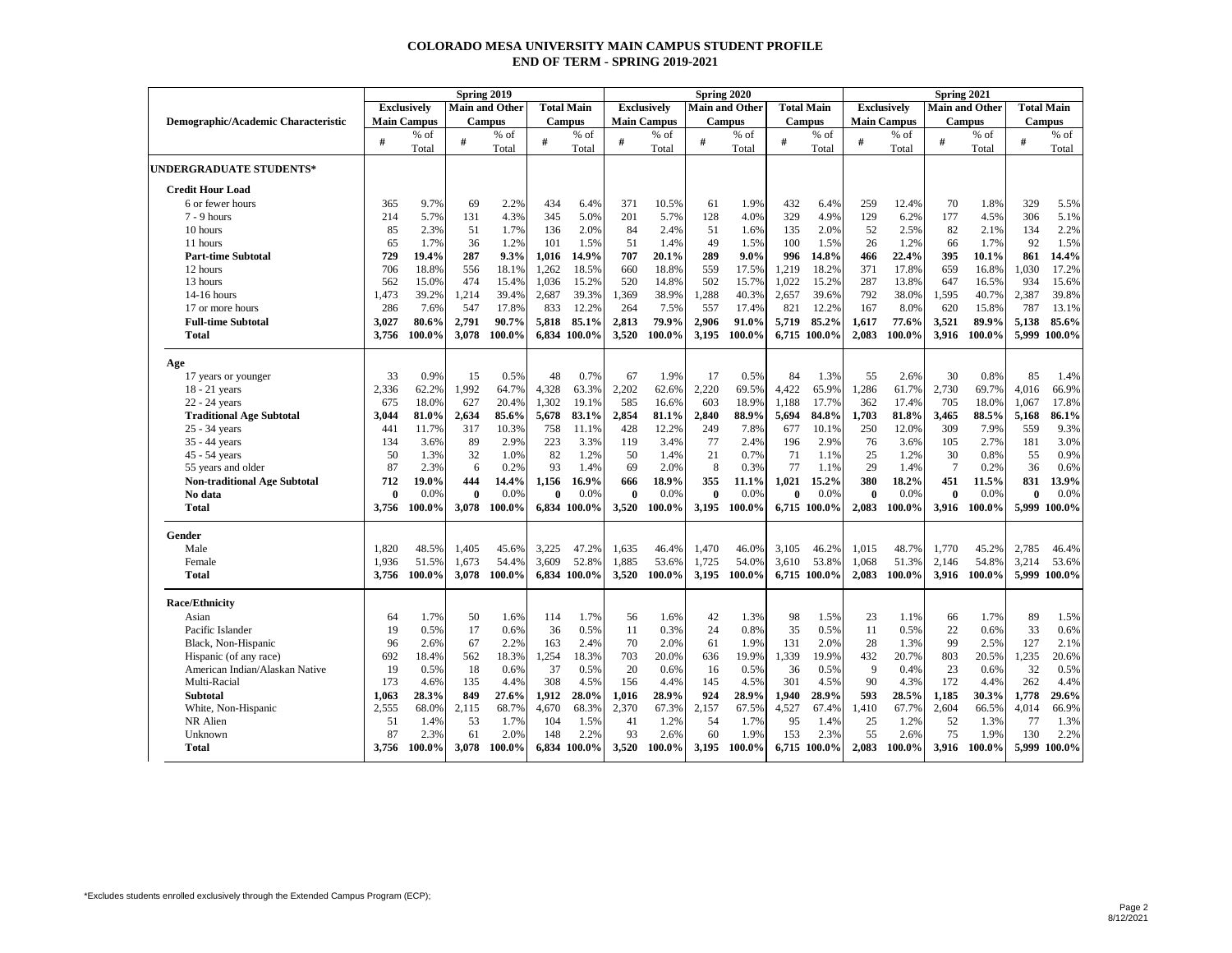## **COLORADO MESA UNIVERSITY MAIN CAMPUS STUDENT PROFILE END OF TERM - SPRING 2019-2021**

|                                           |                | Spring 2019<br>Spring 2020<br>Spring 2021 |                |                       |              |                       |                |                    |                |                       |               |                       |                    |                 |                |                       |                |                   |
|-------------------------------------------|----------------|-------------------------------------------|----------------|-----------------------|--------------|-----------------------|----------------|--------------------|----------------|-----------------------|---------------|-----------------------|--------------------|-----------------|----------------|-----------------------|----------------|-------------------|
|                                           |                | <b>Exclusively</b>                        |                | <b>Main and Other</b> |              | <b>Total Main</b>     |                | <b>Exclusively</b> |                | <b>Main and Other</b> |               | <b>Total Main</b>     | <b>Exclusively</b> |                 |                | <b>Main and Other</b> |                | <b>Total Main</b> |
| Demographic/Academic Characteristic       |                | <b>Main Campus</b>                        |                | <b>Campus</b>         |              | <b>Campus</b>         |                | <b>Main Campus</b> |                | <b>Campus</b>         | <b>Campus</b> |                       | <b>Main Campus</b> |                 | <b>Campus</b>  |                       | <b>Campus</b>  |                   |
|                                           | #              | % of                                      | $\#$           | $%$ of                | #            | % of<br>Total         | #              | % of               | #              | % of                  | #             | % of                  | $\#$               | % of            | #              | % of                  | #              | $%$ of            |
|                                           |                | Total                                     |                | Total                 |              |                       |                | Total              |                | Total                 |               | Total                 |                    | Total           |                | Total                 |                | Total             |
| <b>UNDERGRADUATE STUDENTS*</b>            |                |                                           |                |                       |              |                       |                |                    |                |                       |               |                       |                    |                 |                |                       |                |                   |
| <b>Credit Hour Load</b>                   |                |                                           |                |                       |              |                       |                |                    |                |                       |               |                       |                    |                 |                |                       |                |                   |
| 6 or fewer hours                          | 365            | 9.7%                                      | 69             | 2.2%                  | 434          | 6.4%                  | 371            | 10.5%              | 61             | 1.9%                  | 432           | 6.4%                  | 259                | 12.4%           | 70             | 1.8%                  | 329            | 5.5%              |
| $7 - 9$ hours                             | 214            | 5.7%                                      | 131            | 4.3%                  | 345          | 5.0%                  | 201            | 5.7%               | 128            | 4.0%                  | 329           | 4.9%                  | 129                | 6.2%            | 177            | 4.5%                  | 306            | 5.1%              |
| 10 hours                                  | 85             | 2.3%                                      | 51             | 1.7%                  | 136          | 2.0%                  | 84             | 2.4%               | 51             | 1.6%                  | 135           | 2.0%                  | 52                 | 2.5%            | 82             | 2.1%                  | 134            | 2.2%              |
| 11 hours                                  | 65             | 1.7%                                      | 36             | 1.2%                  | 101          | 1.5%                  | 51             | 1.4%               | 49             | 1.5%                  | 100           | 1.5%                  | 26                 | 1.2%            | 66             | 1.7%                  | 92             | 1.5%              |
| <b>Part-time Subtotal</b>                 | 729            | 19.4%                                     | 287            | 9.3%                  | 1,016        | 14.9%                 | 707            | 20.1%              | 289            | $9.0\%$               | 996           | 14.8%                 | 466                | 22.4%           | 395            | 10.1%                 | 861            | 14.4%             |
| 12 hours                                  | 706            | 18.8%                                     | 556            | 18.1%                 | 1,262        | 18.5%                 | 660            | 18.8%              | 559            | 17.5%                 | 1,219         | 18.2%                 | 371                | 17.8%           | 659            | 16.8%                 | 1,030          | 17.2%             |
| 13 hours                                  | 562            | 15.0%                                     | 474            | 15.4%                 | 1.036        | 15.2%                 | 520            | 14.8%              | 502            | 15.7%                 | 1.022         | 15.2%                 | 287                | 13.8%           | 647            | 16.5%                 | 934            | 15.6%             |
| $14-16$ hours                             | 1,473<br>286   | 39.2%                                     | 1,214          | 39.4%                 | 2,687        | 39.3%<br>12.2%        | 1,369          | 38.9%<br>7.5%      | 1,288          | 40.3%                 | 2,657<br>821  | 39.6%<br>12.2%        | 792<br>167         | 38.0%           | 1,595          | 40.7%                 | 2,387<br>787   | 39.8%             |
| 17 or more hours                          |                | 7.6%                                      | 547            | 17.8%<br>90.7%        | 833          |                       | 264            | 79.9%              | 557            | 17.4%                 |               |                       |                    | 8.0%            | 620            | 15.8%<br>89.9%        |                | 13.1%             |
| <b>Full-time Subtotal</b><br><b>Total</b> | 3,027<br>3,756 | 80.6%<br>100.0%                           | 2,791<br>3,078 | 100.0%                | 5,818        | 85.1%<br>6,834 100.0% | 2,813<br>3,520 | 100.0%             | 2.906<br>3,195 | 91.0%<br>100.0%       | 5,719         | 85.2%<br>6,715 100.0% | 1,617<br>2,083     | 77.6%<br>100.0% | 3,521<br>3,916 | 100.0%                | 5,138<br>5,999 | 85.6%<br>100.0%   |
|                                           |                |                                           |                |                       |              |                       |                |                    |                |                       |               |                       |                    |                 |                |                       |                |                   |
| Age                                       |                |                                           |                |                       |              |                       |                |                    |                |                       |               |                       |                    |                 |                |                       |                |                   |
| 17 years or younger                       | 33             | 0.9%                                      | 15             | 0.5%                  | 48           | 0.7%                  | 67             | 1.9%               | 17             | 0.5%                  | 84            | 1.3%                  | 55                 | 2.6%            | 30             | 0.8%                  | 85             | 1.4%              |
| 18 - 21 years                             | 2.336          | 62.2%                                     | 1,992          | 64.7%                 | 4,328        | 63.3%                 | 2,202          | 62.6%              | 2,220          | 69.5%                 | 4,422         | 65.9%                 | 1,286              | 61.7%           | 2,730          | 69.7%                 | 4,016          | 66.9%             |
| $22 - 24$ years                           | 675            | 18.0%                                     | 627            | 20.4%                 | 1,302        | 19.1%                 | 585            | 16.6%              | 603            | 18.9%                 | 1,188         | 17.7%                 | 362                | 17.4%           | 705            | 18.0%                 | 1,067          | 17.8%             |
| <b>Traditional Age Subtotal</b>           | 3,044          | 81.0%                                     | 2,634          | 85.6%                 | 5,678        | 83.1%                 | 2,854          | 81.1%              | 2,840          | 88.9%                 | 5,694         | 84.8%                 | 1,703              | 81.8%           | 3,465          | 88.5%                 | 5,168          | 86.1%             |
| 25 - 34 years                             | 441            | 11.7%                                     | 317            | 10.3%                 | 758          | 11.1%                 | 428            | 12.2%              | 249            | 7.8%                  | 677           | 10.1%                 | 250                | 12.0%           | 309            | 7.9%                  | 559            | 9.3%              |
| 35 - 44 years                             | 134            | 3.6%                                      | 89             | 2.9%                  | 223          | 3.3%                  | 119            | 3.4%               | 77             | 2.4%                  | 196           | 2.9%                  | 76                 | 3.6%            | 105            | 2.7%                  | 181            | 3.0%              |
| 45 - 54 years                             | 50             | 1.3%                                      | 32             | 1.0%                  | 82           | 1.2%                  | 50             | 1.4%               | 21             | 0.7%                  | 71            | 1.1%                  | 25                 | 1.2%            | 30             | 0.8%                  | 55             | 0.9%              |
| 55 years and older                        | 87             | 2.3%                                      | 6              | 0.2%                  | 93           | 1.4%                  | 69             | 2.0%               | 8              | 0.3%                  | 77            | 1.1%                  | 29                 | 1.4%            | $\overline{7}$ | 0.2%                  | 36             | 0.6%              |
| <b>Non-traditional Age Subtotal</b>       | 712            | 19.0%                                     | 444            | 14.4%                 | 1,156        | 16.9%                 | 666            | 18.9%              | 355            | 11.1%                 | 1.021         | 15.2%                 | 380                | 18.2%           | 451            | 11.5%                 | 831            | 13.9%             |
| No data                                   | $\theta$       | 0.0%                                      | $\mathbf{0}$   | 0.0%                  | $\mathbf{0}$ | 0.0%                  | $\bf{0}$       | 0.0%               | $\bf{0}$       | 0.0%                  | $\bf{0}$      | 0.0%                  | $\bf{0}$           | 0.0%            | $\bf{0}$       | 0.0%                  | $\bf{0}$       | 0.0%              |
| <b>Total</b>                              | 3.756          | 100.0%                                    | 3.078          | 100.0%                |              | 6,834 100.0%          | 3,520          | 100.0%             | 3.195          | 100.0%                |               | 6,715 100.0%          | 2.083              | 100.0%          | 3.916          | 100.0%                |                | 5,999 100.0%      |
| Gender                                    |                |                                           |                |                       |              |                       |                |                    |                |                       |               |                       |                    |                 |                |                       |                |                   |
| Male                                      | 1.820          | 48.5%                                     | 1,405          | 45.6%                 | 3,225        | 47.2%                 | 1,635          | 46.4%              | 1,470          | 46.0%                 | 3,105         | 46.2%                 | 1,015              | 48.7%           | 1,770          | 45.2%                 | 2,785          | 46.4%             |
| Female                                    | 1.936          | 51.5%                                     | 1,673          | 54.4%                 | 3.609        | 52.8%                 | 1.885          | 53.6%              | 1.725          | 54.0%                 | 3.610         | 53.8%                 | 1.068              | 51.3%           | 2.146          | 54.8%                 | 3.214          | 53.6%             |
| <b>Total</b>                              | 3,756          | 100.0%                                    | 3,078          | 100.0%                |              | 6,834 100.0%          | 3,520          | 100.0%             | 3,195          | 100.0%                |               | 6,715 100.0%          | 2,083              | 100.0%          | 3,916          | 100.0%                |                | 5,999 100.0%      |
| <b>Race/Ethnicity</b>                     |                |                                           |                |                       |              |                       |                |                    |                |                       |               |                       |                    |                 |                |                       |                |                   |
| Asian                                     | 64             | 1.7%                                      | 50             | 1.6%                  | 114          | 1.7%                  | 56             | 1.6%               | 42             | 1.3%                  | 98            | 1.5%                  | 23                 | 1.1%            | 66             | 1.7%                  | 89             | 1.5%              |
| Pacific Islander                          | 19             | 0.5%                                      | 17             | 0.6%                  | 36           | 0.5%                  | 11             | 0.3%               | 24             | 0.8%                  | 35            | 0.5%                  | 11                 | 0.5%            | 22             | 0.6%                  | 33             | 0.6%              |
| Black, Non-Hispanic                       | 96             | 2.6%                                      | 67             | 2.2%                  | 163          | 2.4%                  | 70             | 2.0%               | 61             | 1.9%                  | 131           | 2.0%                  | 28                 | 1.3%            | 99             | 2.5%                  | 127            | 2.1%              |
| Hispanic (of any race)                    | 692            | 18.4%                                     | 562            | 18.3%                 | 1,254        | 18.3%                 | 703            | 20.0%              | 636            | 19.9%                 | 1,339         | 19.9%                 | 432                | 20.7%           | 803            | 20.5%                 | 1,235          | 20.6%             |
| American Indian/Alaskan Native            | 19             | 0.5%                                      | 18             | 0.6%                  | 37           | 0.5%                  | 20             | 0.6%               | 16             | 0.5%                  | 36            | 0.5%                  | $\mathbf{Q}$       | 0.4%            | 23             | 0.6%                  | 32             | 0.5%              |
| Multi-Racial                              | 173            | 4.6%                                      | 135            | 4.4%                  | 308          | 4.5%                  | 156            | 4.4%               | 145            | 4.5%                  | 301           | 4.5%                  | 90                 | 4.3%            | 172            | 4.4%                  | 262            | 4.4%              |
| <b>Subtotal</b>                           | 1,063          | 28.3%                                     | 849            | 27.6%                 | 1,912        | 28.0%                 | 1,016          | 28.9%              | 924            | 28.9%                 | 1.940         | 28.9%                 | 593                | 28.5%           | 1,185          | 30.3%                 | 1,778          | 29.6%             |
| White, Non-Hispanic                       | 2,555          | 68.0%                                     | 2,115          | 68.7%                 | 4,670        | 68.3%                 | 2,370          | 67.3%              | 2,157          | 67.5%                 | 4,527         | 67.4%                 | 1,410              | 67.7%           | 2,604          | 66.5%                 | 4,014          | 66.9%             |
| NR Alien                                  | 51             | 1.4%                                      | 53             | 1.7%                  | 104          | 1.5%                  | 41             | 1.2%               | 54             | 1.7%                  | 95            | 1.4%                  | 25                 | 1.2%            | 52             | 1.3%                  | 77             | 1.3%              |
| Unknown                                   | 87             | 2.3%                                      | 61             | 2.0%                  | 148          | 2.2%                  | 93             | 2.6%               | 60             | 1.9%                  | 153           | 2.3%                  | 55                 | 2.6%            | 75             | 1.9%                  | 130            | 2.2%              |
| <b>Total</b>                              | 3.756          | 100.0%                                    | 3.078          | 100.0%                |              | 6.834 100.0%          | 3.520          | 100.0%             | 3.195          | 100.0%                |               | 6.715 100.0%          | 2.083              | 100.0%          |                | 3.916 100.0%          |                | 5,999 100.0%      |